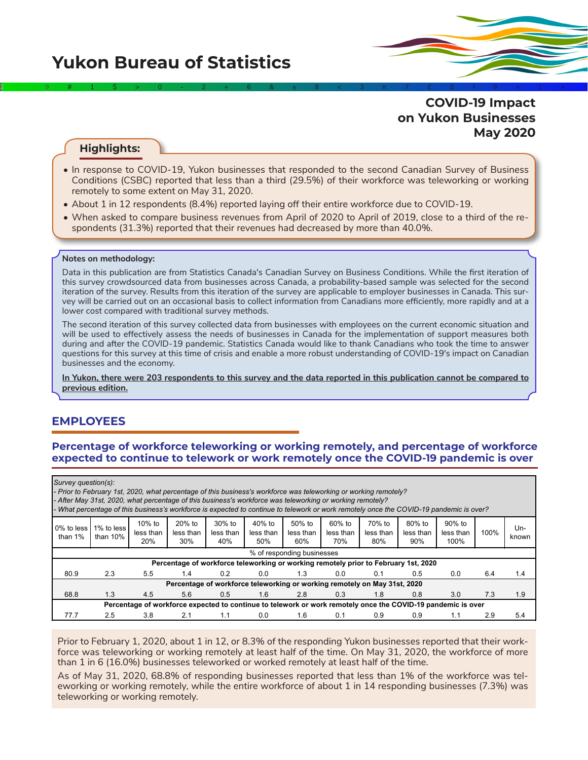**COVID-19 Impact on Yukon Businesses May 2020** 2÷9#1\$>0-2+6&±8<3π7£5‡9≈1∞^

#### **Highlights:**

- In response to COVID-19, Yukon businesses that responded to the second Canadian Survey of Business Conditions (CSBC) reported that less than a third (29.5%) of their workforce was teleworking or working remotely to some extent on May 31, 2020.
- About 1 in 12 respondents (8.4%) reported laying off their entire workforce due to COVID-19.
- When asked to compare business revenues from April of 2020 to April of 2019, close to a third of the respondents (31.3%) reported that their revenues had decreased by more than 40.0%.

#### **Notes on methodology:**

Data in this publication are from Statistics Canada's Canadian Survey on Business Conditions. While the first iteration of this survey crowdsourced data from businesses across Canada, a probability-based sample was selected for the second iteration of the survey. Results from this iteration of the survey are applicable to employer businesses in Canada. This survey will be carried out on an occasional basis to collect information from Canadians more efficiently, more rapidly and at a lower cost compared with traditional survey methods.

The second iteration of this survey collected data from businesses with employees on the current economic situation and will be used to effectively assess the needs of businesses in Canada for the implementation of support measures both during and after the COVID-19 pandemic. Statistics Canada would like to thank Canadians who took the time to answer questions for this survey at this time of crisis and enable a more robust understanding of COVID-19's impact on Canadian businesses and the economy.

**In Yukon, there were 203 respondents to this survey and the data reported in this publication cannot be compared to previous edition.**

## **EMPLOYEES**

#### **Percentage of workforce teleworking or working remotely, and percentage of workforce expected to continue to telework or work remotely once the COVID-19 pandemic is over**

| Survey question(s):      | - Prior to February 1st, 2020, what percentage of this business's workforce was teleworking or working remotely?<br>- After May 31st, 2020, what percentage of this business's workforce was teleworking or working remotely?<br>What percentage of this business's workforce is expected to continue to telework or work remotely once the COVID-19 pandemic is over? |                               |                              |                                                                                     |                            |                            |                            |                            |                            |                             |      |              |
|--------------------------|------------------------------------------------------------------------------------------------------------------------------------------------------------------------------------------------------------------------------------------------------------------------------------------------------------------------------------------------------------------------|-------------------------------|------------------------------|-------------------------------------------------------------------------------------|----------------------------|----------------------------|----------------------------|----------------------------|----------------------------|-----------------------------|------|--------------|
| 0% to less<br>than $1\%$ | 1% to less<br>than $10\%$                                                                                                                                                                                                                                                                                                                                              | $10\%$ to<br>less than<br>20% | $20%$ to<br>less than<br>30% | $30\%$ to<br>less than<br>40%                                                       | 40% to<br>less than<br>50% | 50% to<br>less than<br>60% | 60% to<br>less than<br>70% | 70% to<br>less than<br>80% | 80% to<br>less than<br>90% | 90% to<br>less than<br>100% | 100% | Un-<br>known |
|                          |                                                                                                                                                                                                                                                                                                                                                                        |                               |                              |                                                                                     |                            | % of responding businesses |                            |                            |                            |                             |      |              |
|                          |                                                                                                                                                                                                                                                                                                                                                                        |                               |                              | Percentage of workforce teleworking or working remotely prior to February 1st, 2020 |                            |                            |                            |                            |                            |                             |      |              |
| 80.9                     | 2.3                                                                                                                                                                                                                                                                                                                                                                    | 5.5                           | 1.4                          | 0.2                                                                                 | 0.0                        | 1.3                        | 0.0                        | 0.1                        | 0.5                        | 0.0                         | 6.4  | 1.4          |
|                          |                                                                                                                                                                                                                                                                                                                                                                        |                               |                              | Percentage of workforce teleworking or working remotely on May 31st, 2020           |                            |                            |                            |                            |                            |                             |      |              |
| 68.8                     | 1.3                                                                                                                                                                                                                                                                                                                                                                    | 4.5                           | 5.6                          | 0.5                                                                                 | 1.6                        | 2.8                        | 0.3                        | 1.8                        | 0.8                        | 3.0                         | 7.3  | 1.9          |
|                          | Percentage of workforce expected to continue to telework or work remotely once the COVID-19 pandemic is over                                                                                                                                                                                                                                                           |                               |                              |                                                                                     |                            |                            |                            |                            |                            |                             |      |              |
| 77.7                     | 2.5                                                                                                                                                                                                                                                                                                                                                                    | 3.8                           | 2.1                          | 1.1                                                                                 | 0.0                        | 1.6                        | 0.1                        | 0.9                        | 0.9                        | 1.1                         | 2.9  | 5.4          |

Prior to February 1, 2020, about 1 in 12, or 8.3% of the responding Yukon businesses reported that their workforce was teleworking or working remotely at least half of the time. On May 31, 2020, the workforce of more than 1 in 6 (16.0%) businesses teleworked or worked remotely at least half of the time.

As of May 31, 2020, 68.8% of responding businesses reported that less than 1% of the workforce was teleworking or working remotely, while the entire workforce of about 1 in 14 responding businesses (7.3%) was teleworking or working remotely.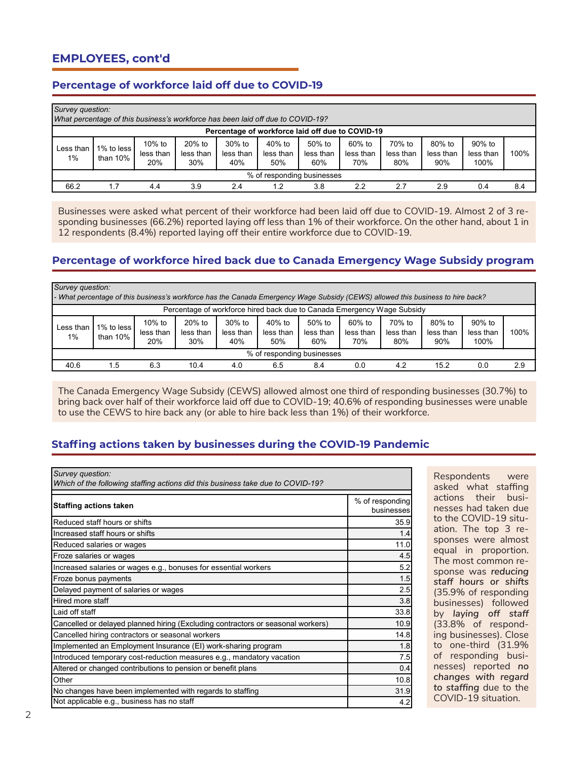# **EMPLOYEES, cont'd**

### **Percentage of workforce laid off due to COVID-19**

| Survey question:<br>What percentage of this business's workforce has been laid off due to COVID-19? |                          |                            |                            |                               |                              |                               |                            |                            |                            |                             |      |
|-----------------------------------------------------------------------------------------------------|--------------------------|----------------------------|----------------------------|-------------------------------|------------------------------|-------------------------------|----------------------------|----------------------------|----------------------------|-----------------------------|------|
| Percentage of workforce laid off due to COVID-19                                                    |                          |                            |                            |                               |                              |                               |                            |                            |                            |                             |      |
| Less than<br>1%                                                                                     | 1% to less<br>than $10%$ | 10% to<br>less than<br>20% | 20% to<br>less than<br>30% | $30\%$ to<br>less than<br>40% | $40%$ to<br>less than<br>50% | $50\%$ to<br>less than<br>60% | 60% to<br>less than<br>70% | 70% to<br>less than<br>80% | 80% to<br>less than<br>90% | 90% to<br>less than<br>100% | 100% |
| % of responding businesses                                                                          |                          |                            |                            |                               |                              |                               |                            |                            |                            |                             |      |
| 66.2                                                                                                |                          | 4.4                        | 3.9                        | 2.4                           | .2                           | 3.8                           | 2.2                        | 2.7                        | 2.9                        | 0.4                         | 8.4  |

Businesses were asked what percent of their workforce had been laid off due to COVID-19. Almost 2 of 3 responding businesses (66.2%) reported laying off less than 1% of their workforce. On the other hand, about 1 in 12 respondents (8.4%) reported laying off their entire workforce due to COVID-19.

### **Percentage of workforce hired back due to Canada Emergency Wage Subsidy program**

|                                                                         | Survey question:<br>- What percentage of this business's workforce has the Canada Emergency Wage Subsidy (CEWS) allowed this business to hire back? |                            |                              |                               |                              |                               |                            |                            |                            |                             |      |
|-------------------------------------------------------------------------|-----------------------------------------------------------------------------------------------------------------------------------------------------|----------------------------|------------------------------|-------------------------------|------------------------------|-------------------------------|----------------------------|----------------------------|----------------------------|-----------------------------|------|
| Percentage of workforce hired back due to Canada Emergency Wage Subsidy |                                                                                                                                                     |                            |                              |                               |                              |                               |                            |                            |                            |                             |      |
| Less than<br>1%                                                         | 1% to less<br>than $10%$                                                                                                                            | 10% to<br>less than<br>20% | $20%$ to<br>less than<br>30% | $30\%$ to<br>less than<br>40% | $40%$ to<br>less than<br>50% | $50\%$ to<br>less than<br>60% | 60% to<br>less than<br>70% | 70% to<br>less than<br>80% | 80% to<br>less than<br>90% | 90% to<br>less than<br>100% | 100% |
| % of responding businesses                                              |                                                                                                                                                     |                            |                              |                               |                              |                               |                            |                            |                            |                             |      |
| 40.6                                                                    | 1.5                                                                                                                                                 | 6.3                        | 10.4                         | 4.0                           | 6.5                          | 8.4                           | 0.0                        | 4.2                        | 15.2                       | 0.0                         | 2.9  |

The Canada Emergency Wage Subsidy (CEWS) allowed almost one third of responding businesses (30.7%) to bring back over half of their workforce laid off due to COVID-19; 40.6% of responding businesses were unable to use the CEWS to hire back any (or able to hire back less than 1%) of their workforce.

### **Staffing actions taken by businesses during the COVID-19 Pandemic**

| Survey question:<br>Which of the following staffing actions did this business take due to COVID-19? |                               |
|-----------------------------------------------------------------------------------------------------|-------------------------------|
| <b>Staffing actions taken</b>                                                                       | % of responding<br>businesses |
| Reduced staff hours or shifts                                                                       | 35.9                          |
| Increased staff hours or shifts                                                                     | 1.4                           |
| Reduced salaries or wages                                                                           | 11.0                          |
| Froze salaries or wages                                                                             | 4.5                           |
| Increased salaries or wages e.g., bonuses for essential workers                                     | 5.2                           |
| Froze bonus payments                                                                                | 1.5                           |
| Delayed payment of salaries or wages                                                                | 2.5                           |
| Hired more staff                                                                                    | 3.8                           |
| Laid off staff                                                                                      | 33.8                          |
| Cancelled or delayed planned hiring (Excluding contractors or seasonal workers)                     | 10.9                          |
| Cancelled hiring contractors or seasonal workers                                                    | 14.8                          |
| Implemented an Employment Insurance (EI) work-sharing program                                       | 1.8                           |
| Introduced temporary cost-reduction measures e.g., mandatory vacation                               | 7.5                           |
| Altered or changed contributions to pension or benefit plans                                        | 0.4                           |
| Other                                                                                               | 10.8                          |
| No changes have been implemented with regards to staffing                                           | 31.9                          |
| Not applicable e.g., business has no staff                                                          | 4.2                           |

Respondents were asked what staffing actions their businesses had taken due to the COVID-19 situation. The top 3 responses were almost equal in proportion. The most common response was *reducing staff hours or shifts*  (35.9% of responding businesses) followed by *laying off staff*  (33.8% of responding businesses). Close to one-third (31.9% of responding businesses) reported *no changes with regard to staffing* due to the COVID-19 situation.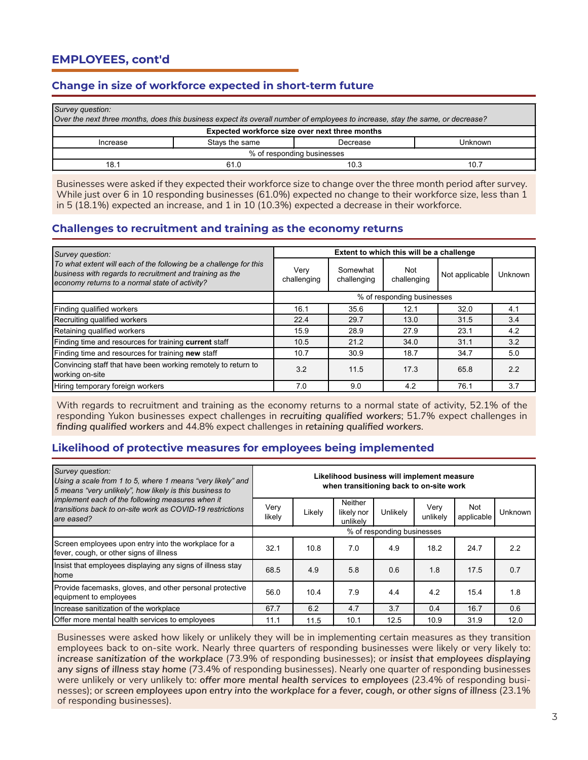# **Change in size of workforce expected in short-term future**

| Survey question:<br>Over the next three months, does this business expect its overall number of employees to increase, stay the same, or decrease? |                |          |         |  |  |  |  |  |
|----------------------------------------------------------------------------------------------------------------------------------------------------|----------------|----------|---------|--|--|--|--|--|
| Expected workforce size over next three months                                                                                                     |                |          |         |  |  |  |  |  |
| Increase                                                                                                                                           | Stays the same | Decrease | Unknown |  |  |  |  |  |
| % of responding businesses                                                                                                                         |                |          |         |  |  |  |  |  |
| 18.1                                                                                                                                               | 61.0           | 10.3     | 10.7    |  |  |  |  |  |

Businesses were asked if they expected their workforce size to change over the three month period after survey. While just over 6 in 10 responding businesses (61.0%) expected no change to their workforce size, less than 1 in 5 (18.1%) expected an increase, and 1 in 10 (10.3%) expected a decrease in their workforce.

### **Challenges to recruitment and training as the economy returns**

| Survey question:                                                                                                                                                                |                            |                         | Extent to which this will be a challenge |                |         |  |
|---------------------------------------------------------------------------------------------------------------------------------------------------------------------------------|----------------------------|-------------------------|------------------------------------------|----------------|---------|--|
| To what extent will each of the following be a challenge for this<br>business with regards to recruitment and training as the<br>economy returns to a normal state of activity? | Very<br>challenging        | Somewhat<br>challenging | Not<br>challenging                       | Not applicable | Unknown |  |
|                                                                                                                                                                                 | % of responding businesses |                         |                                          |                |         |  |
| Finding qualified workers                                                                                                                                                       | 16.1                       | 35.6                    | 12.1                                     | 32.0           | 4.1     |  |
| Recruiting qualified workers                                                                                                                                                    | 22.4                       | 29.7                    | 13.0                                     | 31.5           | 3.4     |  |
| Retaining qualified workers                                                                                                                                                     | 15.9                       | 28.9                    | 27.9                                     | 23.1           | 4.2     |  |
| Finding time and resources for training current staff                                                                                                                           | 10.5                       | 21.2                    | 34.0                                     | 31.1           | 3.2     |  |
| Finding time and resources for training new staff                                                                                                                               | 10.7                       | 30.9                    | 18.7                                     | 34.7           | 5.0     |  |
| Convincing staff that have been working remotely to return to<br>working on-site                                                                                                | 3.2                        | 11.5                    | 17.3                                     | 65.8           | 2.2     |  |
| Hiring temporary foreign workers                                                                                                                                                | 7.0                        | 9.0                     | 4.2                                      | 76.1           | 3.7     |  |

With regards to recruitment and training as the economy returns to a normal state of activity, 52.1% of the responding Yukon businesses expect challenges in *recruiting qualified workers*; 51.7% expect challenges in *finding qualified workers* and 44.8% expect challenges in *retaining qualified workers*.

### **Likelihood of protective measures for employees being implemented**

| Survey question:<br>Using a scale from 1 to 5, where 1 means "very likely" and<br>5 means "very unlikely", how likely is this business to |                            | Likelihood business will implement measure<br>when transitioning back to on-site work |                                          |          |                  |                          |                |  |  |
|-------------------------------------------------------------------------------------------------------------------------------------------|----------------------------|---------------------------------------------------------------------------------------|------------------------------------------|----------|------------------|--------------------------|----------------|--|--|
| implement each of the following measures when it<br>transitions back to on-site work as COVID-19 restrictions<br>are eased?               | Very<br>likely             | Likely                                                                                | <b>Neither</b><br>likely nor<br>unlikely | Unlikely | Very<br>unlikely | <b>Not</b><br>applicable | <b>Unknown</b> |  |  |
|                                                                                                                                           | % of responding businesses |                                                                                       |                                          |          |                  |                          |                |  |  |
| Screen employees upon entry into the workplace for a<br>fever, cough, or other signs of illness                                           | 32.1                       | 10.8                                                                                  | 7.0                                      | 4.9      | 18.2             | 24.7                     | 2.2            |  |  |
| Insist that employees displaying any signs of illness stay<br><b>home</b>                                                                 | 68.5                       | 4.9                                                                                   | 5.8                                      | 0.6      | 1.8              | 17.5                     | 0.7            |  |  |
| Provide facemasks, gloves, and other personal protective<br>equipment to employees                                                        | 56.0                       | 10.4                                                                                  | 7.9                                      | 4.4      | 4.2              | 15.4                     | 1.8            |  |  |
| Increase sanitization of the workplace                                                                                                    | 67.7                       | 6.2                                                                                   | 4.7                                      | 3.7      | 0.4              | 16.7                     | 0.6            |  |  |
| Offer more mental health services to employees                                                                                            | 11.1                       | 11.5                                                                                  | 10.1                                     | 12.5     | 10.9             | 31.9                     | 12.0           |  |  |

Businesses were asked how likely or unlikely they will be in implementing certain measures as they transition employees back to on-site work. Nearly three quarters of responding businesses were likely or very likely to: *increase sanitization of the workplace* (73.9% of responding businesses); or *insist that employees displaying any signs of illness stay home* (73.4% of responding businesses). Nearly one quarter of responding businesses were unlikely or very unlikely to: *offer more mental health services to employees* (23.4% of responding businesses); or *screen employees upon entry into the workplace for a fever, cough, or other signs of illness* (23.1% of responding businesses).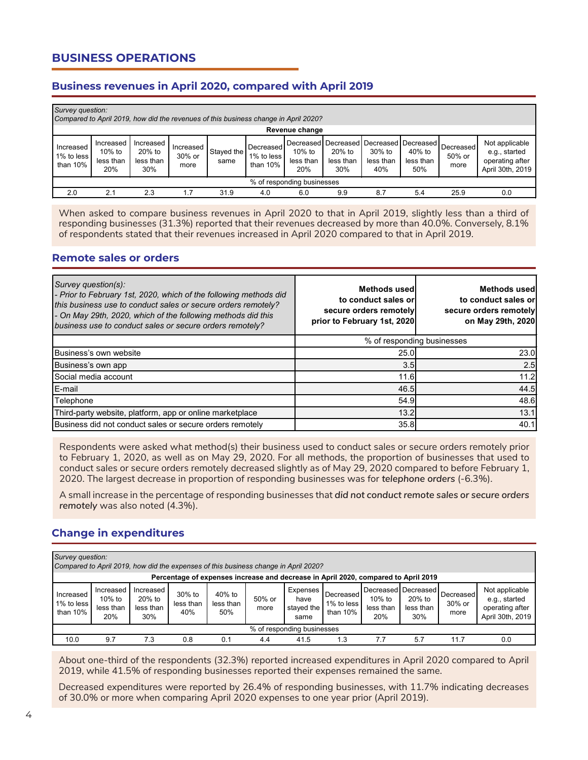# **BUSINESS OPERATIONS**

## **Business revenues in April 2020, compared with April 2019**

|                                        | Survey question:<br>Compared to April 2019, how did the revenues of this business change in April 2020? |                                         |                             |                    |                                     |                                                                       |                            |                            |                            |                             |                                                                        |
|----------------------------------------|---------------------------------------------------------------------------------------------------------|-----------------------------------------|-----------------------------|--------------------|-------------------------------------|-----------------------------------------------------------------------|----------------------------|----------------------------|----------------------------|-----------------------------|------------------------------------------------------------------------|
|                                        |                                                                                                         |                                         |                             |                    |                                     | Revenue change                                                        |                            |                            |                            |                             |                                                                        |
| Increased<br>1% to less<br>than $10\%$ | Increased<br>10% to<br>less than<br>20%                                                                 | Increased<br>20% to<br>less than<br>30% | Increased<br>30% or<br>more | Staved the<br>same | Decreased<br>1% to less<br>than 10% | Decreased Decreased Decreased Decreased<br>10% to<br>less than<br>20% | 20% to<br>less than<br>30% | 30% to<br>less than<br>40% | 40% to<br>less than<br>50% | Decreased<br>50% or<br>more | Not applicable<br>e.g., started<br>operating after<br>April 30th, 2019 |
| % of responding businesses             |                                                                                                         |                                         |                             |                    |                                     |                                                                       |                            |                            |                            |                             |                                                                        |
| 2.0                                    | 2.1                                                                                                     | 2.3                                     | 1.7                         | 31.9               | 4.0                                 | 6.0                                                                   | 9.9                        | 8.7                        | 5.4                        | 25.9                        | 0.0                                                                    |

When asked to compare business revenues in April 2020 to that in April 2019, slightly less than a third of responding businesses (31.3%) reported that their revenues decreased by more than 40.0%. Conversely, 8.1% of respondents stated that their revenues increased in April 2020 compared to that in April 2019.

#### **Remote sales or orders**

| Survey question(s):<br>- Prior to February 1st, 2020, which of the following methods did<br>this business use to conduct sales or secure orders remotely?<br>- On May 29th, 2020, which of the following methods did this<br>business use to conduct sales or secure orders remotely? | <b>Methods used</b><br>to conduct sales or<br>secure orders remotely<br>prior to February 1st, 2020 | Methods used<br>to conduct sales or<br>secure orders remotely<br>on May 29th, 2020 |  |  |  |
|---------------------------------------------------------------------------------------------------------------------------------------------------------------------------------------------------------------------------------------------------------------------------------------|-----------------------------------------------------------------------------------------------------|------------------------------------------------------------------------------------|--|--|--|
|                                                                                                                                                                                                                                                                                       | % of responding businesses                                                                          |                                                                                    |  |  |  |
| Business's own website                                                                                                                                                                                                                                                                | 25.0                                                                                                | 23.0                                                                               |  |  |  |
| Business's own app                                                                                                                                                                                                                                                                    | 3.5                                                                                                 | 2.5                                                                                |  |  |  |
| Social media account                                                                                                                                                                                                                                                                  | 11.6                                                                                                | 11.2                                                                               |  |  |  |
| E-mail                                                                                                                                                                                                                                                                                | 46.5                                                                                                | 44.5                                                                               |  |  |  |
| Telephone                                                                                                                                                                                                                                                                             | 54.9                                                                                                | 48.6                                                                               |  |  |  |
| Third-party website, platform, app or online marketplace                                                                                                                                                                                                                              | 13.2                                                                                                | 13.1                                                                               |  |  |  |
| Business did not conduct sales or secure orders remotely                                                                                                                                                                                                                              | 35.8                                                                                                | 40.1                                                                               |  |  |  |

Respondents were asked what method(s) their business used to conduct sales or secure orders remotely prior to February 1, 2020, as well as on May 29, 2020. For all methods, the proportion of businesses that used to conduct sales or secure orders remotely decreased slightly as of May 29, 2020 compared to before February 1, 2020. The largest decrease in proportion of responding businesses was for *telephone orders* (-6.3%).

A small increase in the percentage of responding businesses that *did not conduct remote sales or secure orders remotely* was also noted (4.3%).

## **Change in expenditures**

| Survey question:<br>Compared to April 2019, how did the expenses of this business change in April 2020? |                                         |                                         |                            |                            |                |                                                                                    |                                        |                            |                                                   |                                    |                                                                        |
|---------------------------------------------------------------------------------------------------------|-----------------------------------------|-----------------------------------------|----------------------------|----------------------------|----------------|------------------------------------------------------------------------------------|----------------------------------------|----------------------------|---------------------------------------------------|------------------------------------|------------------------------------------------------------------------|
|                                                                                                         |                                         |                                         |                            |                            |                | Percentage of expenses increase and decrease in April 2020, compared to April 2019 |                                        |                            |                                                   |                                    |                                                                        |
| Increased<br>1% to less<br>than $10%$                                                                   | Increased<br>10% to<br>less than<br>20% | Increased<br>20% to<br>less than<br>30% | 30% to<br>less than<br>40% | 40% to<br>less than<br>50% | 50% or<br>more | Expenses<br>have<br>stayed the<br>same                                             | Decreased<br>1% to less<br>than $10\%$ | 10% to<br>less than<br>20% | Decreased Decreased<br>20% to<br>less than<br>30% | <b>Decreased</b><br>30% or<br>more | Not applicable<br>e.g., started<br>operating after<br>April 30th, 2019 |
| % of responding businesses                                                                              |                                         |                                         |                            |                            |                |                                                                                    |                                        |                            |                                                   |                                    |                                                                        |
| 10.0                                                                                                    | 9.7                                     | 7.3                                     | 0.8                        | 0.1                        | 4.4            | 41.5                                                                               | 1.3                                    | 7.7                        | 5.7                                               | 11.7                               | 0.0                                                                    |

About one-third of the respondents (32.3%) reported increased expenditures in April 2020 compared to April 2019, while 41.5% of responding businesses reported their expenses remained the same.

Decreased expenditures were reported by 26.4% of responding businesses, with 11.7% indicating decreases of 30.0% or more when comparing April 2020 expenses to one year prior (April 2019).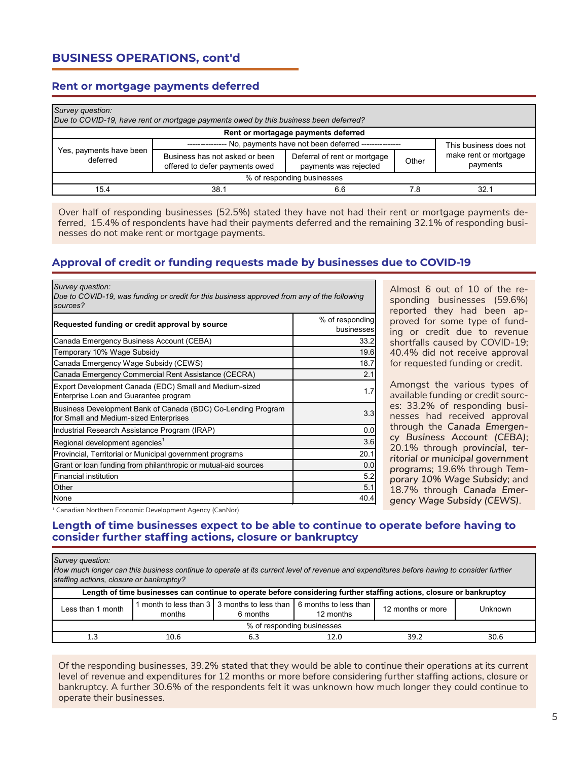# **BUSINESS OPERATIONS, cont'd**

#### **Rent or mortgage payments deferred**

| Survey question:<br>Due to COVID-19, have rent or mortgage payments owed by this business been deferred? |                                                                  |                                                       |                        |                                   |  |  |  |  |  |
|----------------------------------------------------------------------------------------------------------|------------------------------------------------------------------|-------------------------------------------------------|------------------------|-----------------------------------|--|--|--|--|--|
| Rent or mortagage payments deferred                                                                      |                                                                  |                                                       |                        |                                   |  |  |  |  |  |
|                                                                                                          | No, payments have not been deferred --------------               |                                                       | This business does not |                                   |  |  |  |  |  |
| Yes, payments have been<br>deferred                                                                      | Business has not asked or been<br>offered to defer payments owed | Deferral of rent or mortgage<br>payments was rejected | Other                  | make rent or mortgage<br>payments |  |  |  |  |  |
| % of responding businesses                                                                               |                                                                  |                                                       |                        |                                   |  |  |  |  |  |
| 15.4                                                                                                     | 38.1                                                             | 6.6                                                   | 78                     | 32.1                              |  |  |  |  |  |

Over half of responding businesses (52.5%) stated they have not had their rent or mortgage payments deferred, 15.4% of respondents have had their payments deferred and the remaining 32.1% of responding businesses do not make rent or mortgage payments.

#### **Approval of credit or funding requests made by businesses due to COVID-19**

| Survey question:<br>Due to COVID-19, was funding or credit for this business approved from any of the following<br>sources? |                               |
|-----------------------------------------------------------------------------------------------------------------------------|-------------------------------|
| Requested funding or credit approval by source                                                                              | % of responding<br>businesses |
| Canada Emergency Business Account (CEBA)                                                                                    | 33.2                          |
| Temporary 10% Wage Subsidy                                                                                                  | 19.6                          |
| Canada Emergency Wage Subsidy (CEWS)                                                                                        | 18.7                          |
| Canada Emergency Commercial Rent Assistance (CECRA)                                                                         | 2.1                           |
| Export Development Canada (EDC) Small and Medium-sized<br>Enterprise Loan and Guarantee program                             | 1.7                           |
| Business Development Bank of Canada (BDC) Co-Lending Program<br>for Small and Medium-sized Enterprises                      | 3.3                           |
| Industrial Research Assistance Program (IRAP)                                                                               | 0.0                           |
| Regional development agencies <sup>1</sup>                                                                                  | 3.6                           |
| Provincial, Territorial or Municipal government programs                                                                    | 20.1                          |
| Grant or loan funding from philanthropic or mutual-aid sources                                                              | 0.0                           |
| Financial institution                                                                                                       | 5.2                           |
| Other                                                                                                                       | 5.1                           |
| None                                                                                                                        | 40.4                          |

Almost 6 out of 10 of the responding businesses (59.6%) reported they had been approved for some type of funding or credit due to revenue shortfalls caused by COVID-19; 40.4% did not receive approval for requested funding or credit.

Amongst the various types of available funding or credit sources: 33.2% of responding businesses had received approval through the *Canada Emergency Business Account (CEBA)*; 20.1% through p*rovincial, territorial or municipal government programs*; 19.6% through *Temporary 10% Wage Subsidy*; and 18.7% through *Canada Emergency Wage Subsidy (CEWS)*.

<sup>1</sup> Canadian Northern Economic Development Agency (CanNor)

#### **Length of time businesses expect to be able to continue to operate before having to consider further staffing actions, closure or bankruptcy**

#### *Survey question:*

*How much longer can this business continue to operate at its current level of revenue and expenditures before having to consider further staffing actions, closure or bankruptcy?*

| Length of time businesses can continue to operate before considering further staffing actions, closure or bankruptcy |        |          |                                                                                       |                   |         |  |  |
|----------------------------------------------------------------------------------------------------------------------|--------|----------|---------------------------------------------------------------------------------------|-------------------|---------|--|--|
| Less than 1 month                                                                                                    | months | 6 months | 1 month to less than 3   3 months to less than   6 months to less than  <br>12 months | 12 months or more | Unknown |  |  |
| % of responding businesses                                                                                           |        |          |                                                                                       |                   |         |  |  |
| 1.3                                                                                                                  | 10.6   |          | 12.0                                                                                  | 39.2              | 30.6    |  |  |

Of the responding businesses, 39.2% stated that they would be able to continue their operations at its current level of revenue and expenditures for 12 months or more before considering further staffing actions, closure or bankruptcy. A further 30.6% of the respondents felt it was unknown how much longer they could continue to operate their businesses.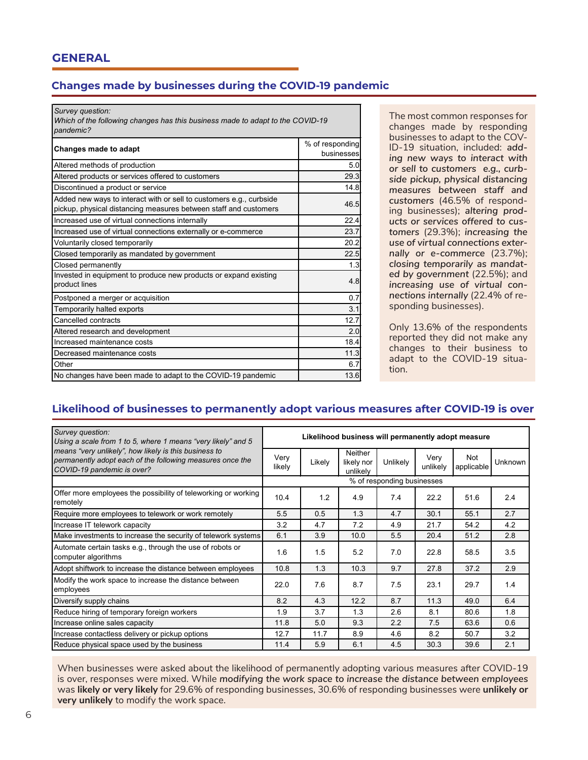### **Changes made by businesses during the COVID-19 pandemic**

*Survey question:*

*Which of the following changes has this business made to adapt to the COVID-19 pandemic?*

| Changes made to adapt                                                                                                                   | % of responding<br>businesses |
|-----------------------------------------------------------------------------------------------------------------------------------------|-------------------------------|
| Altered methods of production                                                                                                           | 5.0                           |
| Altered products or services offered to customers                                                                                       | 29.3                          |
| Discontinued a product or service                                                                                                       | 14.8                          |
| Added new ways to interact with or sell to customers e.g., curbside<br>pickup, physical distancing measures between staff and customers | 46.5                          |
| Increased use of virtual connections internally                                                                                         | 22.4                          |
| Increased use of virtual connections externally or e-commerce                                                                           | 23.7                          |
| Voluntarily closed temporarily                                                                                                          | 20.2                          |
| Closed temporarily as mandated by government                                                                                            | 22.5                          |
| Closed permanently                                                                                                                      | 1.3                           |
| Invested in equipment to produce new products or expand existing<br>product lines                                                       | 4.8                           |
| Postponed a merger or acquisition                                                                                                       | 0.7                           |
| Temporarily halted exports                                                                                                              | 3.1                           |
| Cancelled contracts                                                                                                                     | 12.7                          |
| Altered research and development                                                                                                        | 2.0                           |
| Increased maintenance costs                                                                                                             | 18.4                          |
| Decreased maintenance costs                                                                                                             | 11.3                          |
| Other                                                                                                                                   | 6.7                           |
| No changes have been made to adapt to the COVID-19 pandemic                                                                             | 13.6                          |

The most common responses for changes made by responding businesses to adapt to the COV-ID-19 situation, included: *adding new ways to interact with or sell to customers e.g., curbside pickup, physical distancing measures between staff and customers* (46.5% of responding businesses); *altering products or services offered to customers* (29.3%); *increasing the use of virtual connections externally or e-commerce* (23.7%); *closing temporarily as mandated by government* (22.5%); and *increasing use of virtual connections internally* (22.4% of responding businesses).

Only 13.6% of the respondents reported they did not make any changes to their business to adapt to the COVID-19 situation.

## **Likelihood of businesses to permanently adopt various measures after COVID-19 is over**

| Survey question:<br>Using a scale from 1 to 5, where 1 means "very likely" and 5                                                                 | Likelihood business will permanently adopt measure |        |                                          |          |                  |                   |         |
|--------------------------------------------------------------------------------------------------------------------------------------------------|----------------------------------------------------|--------|------------------------------------------|----------|------------------|-------------------|---------|
| means "very unlikely", how likely is this business to<br>permanently adopt each of the following measures once the<br>COVID-19 pandemic is over? |                                                    | Likely | <b>Neither</b><br>likely nor<br>unlikely | Unlikely | Very<br>unlikely | Not<br>applicable | Unknown |
|                                                                                                                                                  | % of responding businesses                         |        |                                          |          |                  |                   |         |
| Offer more employees the possibility of teleworking or working<br>remotelv                                                                       | 10.4                                               | 1.2    | 4.9                                      | 7.4      | 22.2             | 51.6              | 2.4     |
| Require more employees to telework or work remotely                                                                                              | 5.5                                                | 0.5    | 1.3                                      | 4.7      | 30.1             | 55.1              | 2.7     |
| Increase IT telework capacity                                                                                                                    | 3.2                                                | 4.7    | 7.2                                      | 4.9      | 21.7             | 54.2              | 4.2     |
| Make investments to increase the security of telework systems                                                                                    | 6.1                                                | 3.9    | 10.0                                     | 5.5      | 20.4             | 51.2              | 2.8     |
| Automate certain tasks e.g., through the use of robots or<br>computer algorithms                                                                 | 1.6                                                | 1.5    | 5.2                                      | 7.0      | 22.8             | 58.5              | 3.5     |
| Adopt shiftwork to increase the distance between employees                                                                                       | 10.8                                               | 1.3    | 10.3                                     | 9.7      | 27.8             | 37.2              | 2.9     |
| Modify the work space to increase the distance between<br>employees                                                                              | 22.0                                               | 7.6    | 8.7                                      | 7.5      | 23.1             | 29.7              | 1.4     |
| Diversify supply chains                                                                                                                          | 8.2                                                | 4.3    | 12.2                                     | 8.7      | 11.3             | 49.0              | 6.4     |
| Reduce hiring of temporary foreign workers                                                                                                       | 1.9                                                | 3.7    | 1.3                                      | 2.6      | 8.1              | 80.6              | 1.8     |
| Increase online sales capacity                                                                                                                   | 11.8                                               | 5.0    | 9.3                                      | 2.2      | 7.5              | 63.6              | 0.6     |
| Increase contactless delivery or pickup options                                                                                                  | 12.7                                               | 11.7   | 8.9                                      | 4.6      | 8.2              | 50.7              | 3.2     |
| Reduce physical space used by the business                                                                                                       | 11.4                                               | 5.9    | 6.1                                      | 4.5      | 30.3             | 39.6              | 2.1     |

When businesses were asked about the likelihood of permanently adopting various measures after COVID-19 is over, responses were mixed. While *modifying the work space to increase the distance between employees*  was **likely or very likely** for 29.6% of responding businesses, 30.6% of responding businesses were **unlikely or very unlikely** to modify the work space.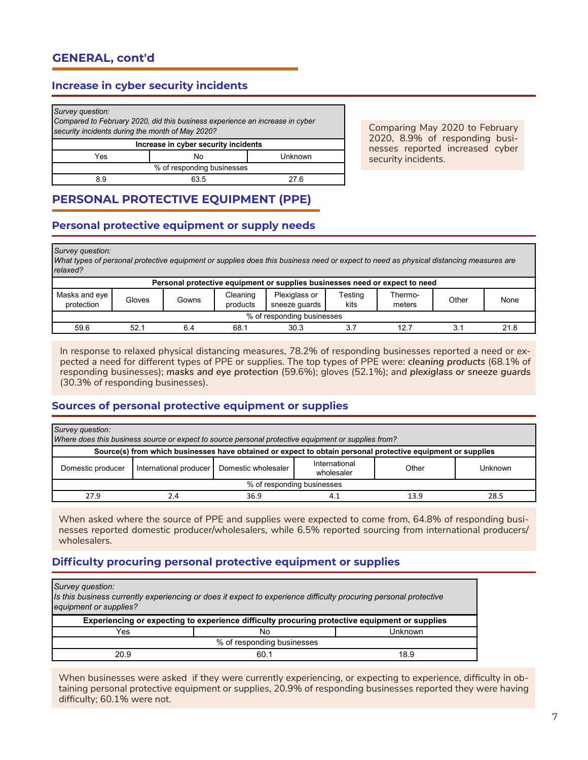### **Increase in cyber security incidents**

| Survey question:<br>Compared to February 2020, did this business experience an increase in cyber<br>security incidents during the month of May 2020? |  |  |  |  |  |
|------------------------------------------------------------------------------------------------------------------------------------------------------|--|--|--|--|--|
| Increase in cyber security incidents                                                                                                                 |  |  |  |  |  |
| Yes<br>Unknown<br>No                                                                                                                                 |  |  |  |  |  |
| % of responding businesses                                                                                                                           |  |  |  |  |  |
| 63.5<br>8.9<br>27 R                                                                                                                                  |  |  |  |  |  |

Comparing May 2020 to February 2020, 8.9% of responding businesses reported increased cyber security incidents.

# **PERSONAL PROTECTIVE EQUIPMENT (PPE)**

### **Personal protective equipment or supply needs**

*Survey question:*

*What types of personal protective equipment or supplies does this business need or expect to need as physical distancing measures are relaxed?*

| Personal protective equipment or supplies businesses need or expect to need |        |       |                      |                                |                 |                   |       |      |
|-----------------------------------------------------------------------------|--------|-------|----------------------|--------------------------------|-----------------|-------------------|-------|------|
| Masks and eye<br>protection                                                 | Gloves | Gowns | Cleaning<br>products | Plexiglass or<br>sneeze quards | Testing<br>kits | Thermo-<br>meters | Other | None |
| % of responding businesses                                                  |        |       |                      |                                |                 |                   |       |      |
| 59.6                                                                        | 52.7   | 6.4   | 68.1                 | 30.3                           | 3.7             | 12.7              |       | 21.8 |

In response to relaxed physical distancing measures, 78.2% of responding businesses reported a need or expected a need for different types of PPE or supplies. The top types of PPE were: *cleaning products* (68.1% of responding businesses); *masks and eye protection* (59.6%); gloves (52.1%); and *plexiglass or sneeze guards*  (30.3% of responding businesses).

### **Sources of personal protective equipment or supplies**

| Survey question:<br>Where does this business source or expect to source personal protective equipment or supplies from? |                        |                     |                             |       |         |  |  |
|-------------------------------------------------------------------------------------------------------------------------|------------------------|---------------------|-----------------------------|-------|---------|--|--|
| Source(s) from which businesses have obtained or expect to obtain personal protective equipment or supplies             |                        |                     |                             |       |         |  |  |
| Domestic producer                                                                                                       | International producer | Domestic wholesaler | International<br>wholesaler | Other | Unknown |  |  |
| % of responding businesses                                                                                              |                        |                     |                             |       |         |  |  |
| 27.9                                                                                                                    | 2.4                    | 36.9                |                             | 13.9  | 28.5    |  |  |

When asked where the source of PPE and supplies were expected to come from, 64.8% of responding businesses reported domestic producer/wholesalers, while 6.5% reported sourcing from international producers/ wholesalers.

### **Difficulty procuring personal protective equipment or supplies**

| Survey question:<br>Is this business currently experiencing or does it expect to experience difficulty procuring personal protective<br>equipment or supplies? |      |         |  |  |  |  |
|----------------------------------------------------------------------------------------------------------------------------------------------------------------|------|---------|--|--|--|--|
| Experiencing or expecting to experience difficulty procuring protective equipment or supplies                                                                  |      |         |  |  |  |  |
| Yes                                                                                                                                                            | No   | Unknown |  |  |  |  |
| % of responding businesses                                                                                                                                     |      |         |  |  |  |  |
| 20.9                                                                                                                                                           | 60.1 | 18.9    |  |  |  |  |

When businesses were asked if they were currently experiencing, or expecting to experience, difficulty in obtaining personal protective equipment or supplies, 20.9% of responding businesses reported they were having difficulty; 60.1% were not.